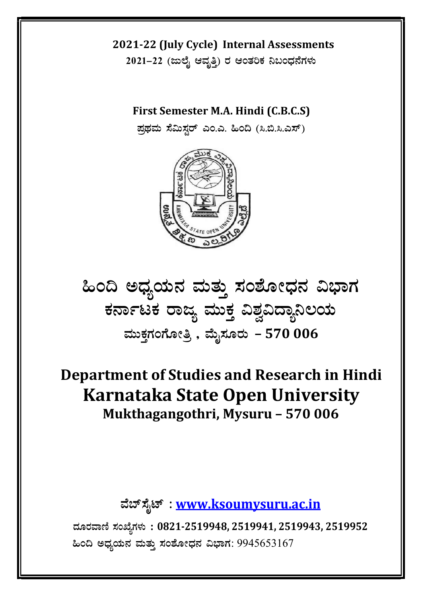### 2021-22 (July Cycle) Internal Assessments

2021-22 (ಜುಲೈ ಆವೃತ್ತಿ) ರ ಆಂತರಿಕ ನಿಬಂಧನೆಗಳು

First Semester M.A. Hindi (C.B.C.S)

ಪಥಮ ಸೆಮಿಸ್ಟರ್ ಎಂ.ಎ. ಹಿಂದಿ (ಸಿ.ಬಿ.ಸಿ.ಎಸ್)



ಹಿಂದಿ ಅಧ್ಯಯನ ಮತ್ತು ಸಂಶೋಧನ ವಿಭಾಗ ಕರ್ನಾಟಕ ರಾಜ್ಯ ಮುಕ್ತ ವಿಶ್ವವಿದ್ಯಾನಿಲಯ ಮುಕ್ತಗಂಗೋತ್ತಿ , ಮೈಸೂರು – 570 006

# Department of Studies and Research in Hindi Karnataka State Open University Mukthagangothri, Mysuru – 570 006

ವೆಬ್ ಸೈಟ್ : www.ksoumysuru.ac.in

ದೂರವಾಣಿ ಸಂಖ್ಯೆಗಳು: 0821-2519948, 2519941, 2519943, 2519952 ಹಿಂದಿ ಅಧ್ಯಯನ ಮತ್ತು ಸಂಶೋಧನ ವಿಭಾಗ:  $9945653167$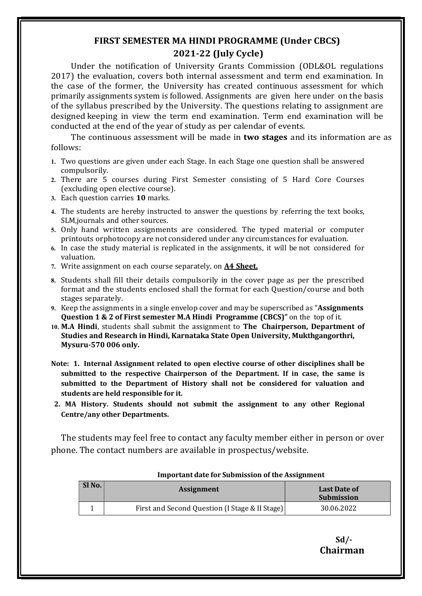#### FIRST SEMESTER MA HINDI PROGRAMME (Under CBCS) 2021-22 (July Cycle)

Under the notification of University Grants Commission (ODL&OL regulations 2017) the evaluation, covers both internal assessment and term end examination. In the case of the former, the University has created continuous assessment for which primarily assignments system is followed. Assignments are given here under on the basis of the syllabus prescribed by the University. The questions relating to assignment are designed keeping in view the term end examination. Term end examination will be conducted at the end of the year of study as per calendar of events.

The continuous assessment will be made in **two stages** and its information are as follows:

- 1. Two questions are given under each Stage. In each Stage one question shall be answered compulsorily.
- 2. There are 5 courses during First Semester consisting of 5 Hard Core Courses (excluding open elective course).
- 3. Each question carries 10 marks.
- 4. The students are hereby instructed to answer the questions by referring the text books, SLM, journals and other sources.
- 5. Only hand written assignments are considered. The typed material or computer printouts or photocopy are not considered under any circumstances for evaluation.
- 6. In case the study material is replicated in the assignments, it will be not considered for valuation.
- 7. Write assignment on each course separately, on **A4 Sheet.**
- 8. Students shall fill their details compulsorily in the cover page as per the prescribed format and the students enclosed shall the format for each Question/course and both stages separately.
- 9. Keep the assignments in a single envelop cover and may be superscribed as "Assignments Question 1 & 2 of First semester M.A Hindi Programme (CBCS)" on the top of it.
- 10. M.A Hindi, students shall submit the assignment to The Chairperson, Department of Studies and Research in Hindi, Karnataka State Open University, Mukthgangorthri, Mysuru-570 006 only.
- Note: 1. Internal Assignment related to open elective course of other disciplines shall be submitted to the respective Chairperson of the Department. If in case, the same is submitted to the Department of History shall not be considered for valuation and students are held responsible for it.
- 2. MA History. Students should not submit the assignment to any other Regional Centre/any other Departments.

The students may feel free to contact any faculty member either in person or over phone. The contact numbers are available in prospectus/website.

| Sl No. | <b>Assignment</b>                              | <b>Last Date of</b><br><b>Submission</b> |
|--------|------------------------------------------------|------------------------------------------|
|        | First and Second Question (I Stage & II Stage) | 30.06.2022                               |

#### Important date for Submission of the Assignment

 Sd/- Chairman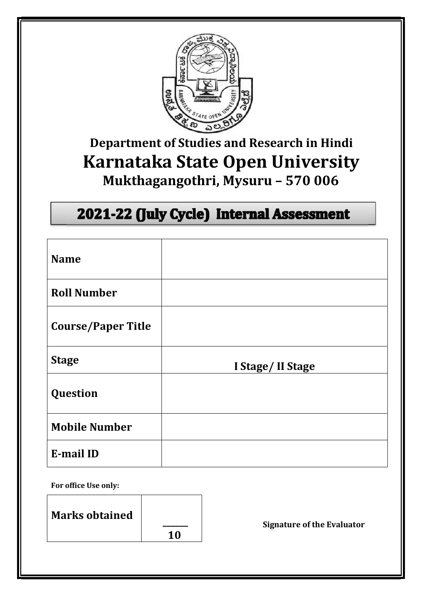

# Department of Studies and Research in Hindi Karnataka State Open University Mukthagangothri, Mysuru – 570 006

# 2021-22 (July Cycle) Internal Assessment

| <b>Name</b>               |                   |
|---------------------------|-------------------|
| <b>Roll Number</b>        |                   |
| <b>Course/Paper Title</b> |                   |
| <b>Stage</b>              | I Stage/ II Stage |
| Question                  |                   |
| <b>Mobile Number</b>      |                   |
| <b>E-mail ID</b>          |                   |

For office Use only:

Marks obtained  $\overline{\phantom{a}}$   $\overline{\phantom{a}}$ 10

Signature of the Evaluator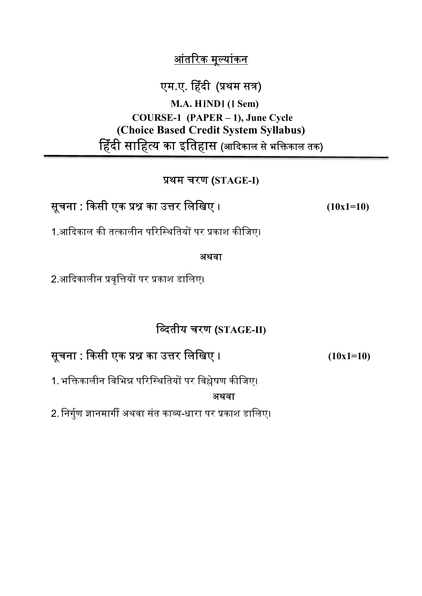### एम.ए. हिंदी (प्रथम सत्र)

 M.A. H।ND। (। Sem) COURSE-1 (PAPER – 1), June Cycle (Choice Based Credit System Syllabus) हिंदी साहित्य का इतिहास (आदिकाल से भक्तिकाल तक)

ᮧथम चरण (STAGE-I)

ī

### सूचना : किसी एक प्रश्न का उत्तर लिखिए ।  $(10x1=10)$

1.आदिकाल की तत्कालीन परिस्थितियों पर प्रकाश कीजिए।

अथवा

2.आदिकालीन प्रवृत्तियों पर प्रकाश डालिए।

### ि᭪दतीय चरण (STAGE-II)

## सूचना : किसी एक प्रश्न का उत्तर लिखिए ।  $(10x1=10)$

1. भक्तिकालीन विभिन्न परिस्थितियों पर विश्लेषण कीजिए।

अथवा

2. निर्गुण ज्ञानमार्गी अथवा संत काव्य-धारा पर प्रकाश डालिए।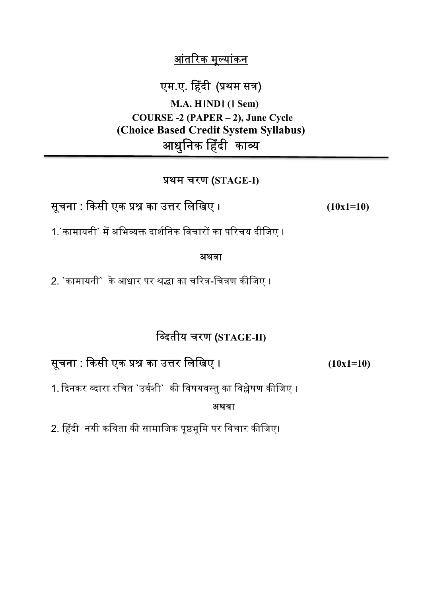### एम.ए. हिंदी (प्रथम सत्र)

 M.A. H।ND। (। Sem) COURSE -2 (PAPER – 2), June Cycle (Choice Based Credit System Syllabus) आधुनिक हिंदी काव्य

#### ᮧथम चरण (STAGE-I)

ī

### सूचना : किसी एक प्रश्न का उत्तर लिखिए ।  $(10x1=10)$

1.`कामायनी` में अभिव्यक्त दार्शनिक विचारों का परिचय दीजिए ।

अथवा

2. `कामायनी` के आधार पर श्रद्धा का चरित्र-चित्रण कीजिए ।

### ि᭪दतीय चरण (STAGE-II)

### सूचना : किसी एक प्रश्न का उत्तर लिखिए ।  $(10x1=10)$

1. दिनकर व्दारा रचित `उर्वशी` की विषयवस्तु का विश्लेषण कीजिए ।

अथवा

2. हिंदी नयी कविता की सामाजिक पृष्ठभूमि पर विचार कीजिए।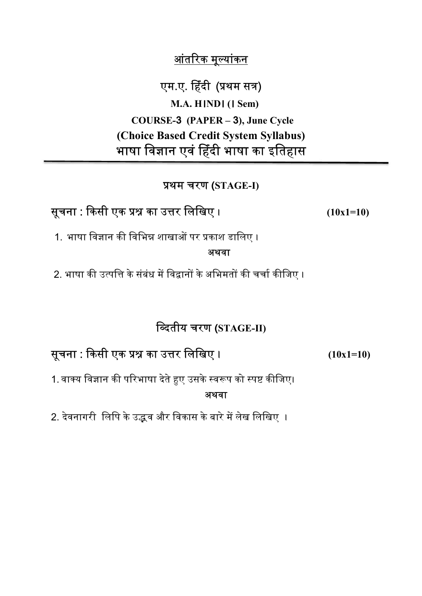एम.ए. हिंदी (प्रथम सत्र) M.A. H।ND। (। Sem) COURSE-3 (PAPER – 3), June Cycle (Choice Based Credit System Syllabus) भाषा विज्ञान एवं हिंदी भाषा का इतिहास

ᮧथम चरण (STAGE-I)

٦

### सूचना : किसी एक प्रश्न का उत्तर लिखिए ।  $(10x1=10)$

1. भाषा विज्ञान की विभिन्न शाखाओं पर प्रकाश डालिए ।

अथवा

2. भाषा की उत्पत्ति के संबंध में विद्वानों के अभिमतों की चर्चा कीजिए ।

## ि᭪दतीय चरण (STAGE-II)

सूचना : किसी एक प्रश्न का उत्तर लिखिए ।  $(10x1=10)$ 

1. वाक्य विज्ञान की परिभाषा देते हुए उसके स्वरूप को स्पष्ट कीजिए। अथवा

2. देवनागरी लिपि के उद्भव और विकास के बारे में लेख लिखिए ।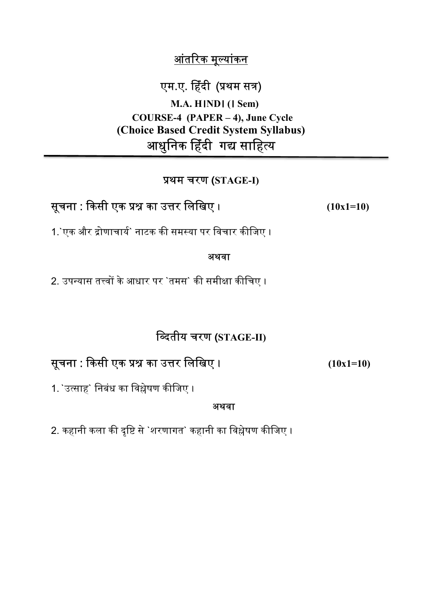### एम.ए. हिंदी (प्रथम सत्र)

 M.A. H।ND। (। Sem) COURSE-4 (PAPER – 4), June Cycle (Choice Based Credit System Syllabus) आधुनिक हिँदी गद्य साहित्य

#### ᮧथम चरण (STAGE-I)

ī

### सूचना : किसी एक प्रश्न का उत्तर लिखिए ।  $(10x1=10)$

1.`एक और द्रोणाचार्य` नाटक की समस्या पर विचार कीजिए ।

अथवा

2. उपन्यास तत्त्वों के आधार पर `तमस` की समीक्षा कीचिए ।

## ि᭪दतीय चरण (STAGE-II)

### सूचना : किसी एक प्रश्न का उत्तर लिखिए ।  $(10x1=10)$

1. `उत्साह` निबंध का विश्लेषण कीजिए ।

अथवा

2. कहानी कला की दृष्टि से `शरणागत` कहानी का विश्लेषण कीजिए ।